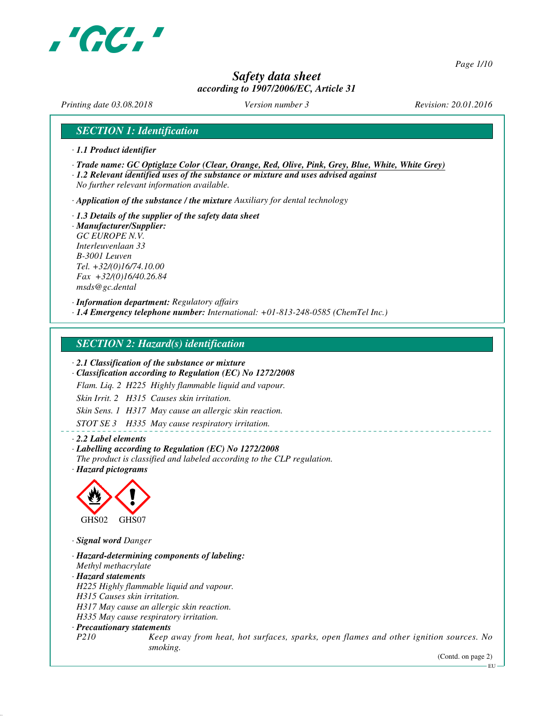

*Page 1/10*

# *Safety data sheet according to 1907/2006/EC, Article 31*

*Printing date 03.08.2018 Version number 3 Revision: 20.01.2016*

*SECTION 1: Identification*

- *· 1.1 Product identifier*
- *· Trade name: GC Optiglaze Color (Clear, Orange, Red, Olive, Pink, Grey, Blue, White, White Grey)*

*· 1.2 Relevant identified uses of the substance or mixture and uses advised against No further relevant information available.*

*· Application of the substance / the mixture Auxiliary for dental technology*

*· 1.3 Details of the supplier of the safety data sheet · Manufacturer/Supplier: GC EUROPE N.V. Interleuvenlaan 33 B-3001 Leuven Tel. +32/(0)16/74.10.00 Fax +32/(0)16/40.26.84 msds@gc.dental*

*· Information department: Regulatory affairs*

*· 1.4 Emergency telephone number: International: +01-813-248-0585 (ChemTel Inc.)*

### *SECTION 2: Hazard(s) identification*

*· 2.1 Classification of the substance or mixture*

*· Classification according to Regulation (EC) No 1272/2008*

*Flam. Liq. 2 H225 Highly flammable liquid and vapour.*

*Skin Irrit. 2 H315 Causes skin irritation.*

*Skin Sens. 1 H317 May cause an allergic skin reaction.*

*STOT SE 3 H335 May cause respiratory irritation.*

*· 2.2 Label elements*

*· Labelling according to Regulation (EC) No 1272/2008*

*The product is classified and labeled according to the CLP regulation.*

*· Hazard pictograms*



*· Signal word Danger*

*· Hazard-determining components of labeling: Methyl methacrylate · Hazard statements H225 Highly flammable liquid and vapour. H315 Causes skin irritation. H317 May cause an allergic skin reaction. H335 May cause respiratory irritation. · Precautionary statements P210 Keep away from heat, hot surfaces, sparks, open flames and other ignition sources. No smoking.*

(Contd. on page 2)

EU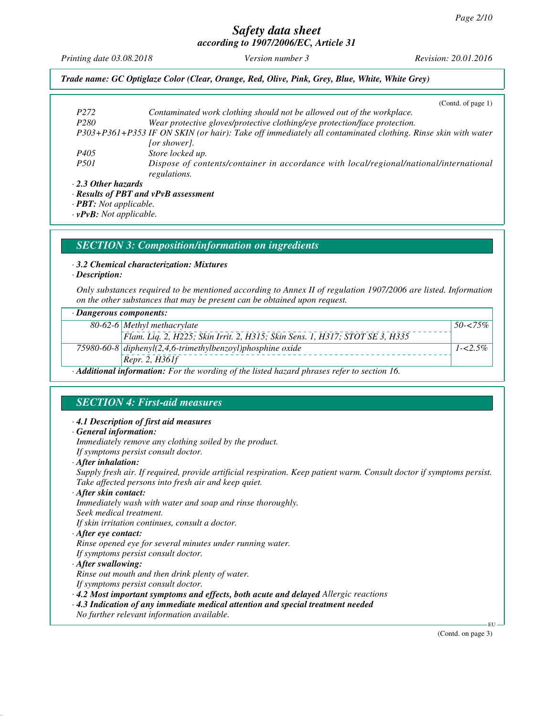*Printing date 03.08.2018 Version number 3 Revision: 20.01.2016*

#### *Trade name: GC Optiglaze Color (Clear, Orange, Red, Olive, Pink, Grey, Blue, White, White Grey)*

|                                      | (Contd. of page $1$ )                                                                                      |
|--------------------------------------|------------------------------------------------------------------------------------------------------------|
| P <sub>272</sub>                     | Contaminated work clothing should not be allowed out of the workplace.                                     |
| P <sub>280</sub>                     | Wear protective gloves/protective clothing/eye protection/face protection.                                 |
|                                      | P303+P361+P353 IF ON SKIN (or hair): Take off immediately all contaminated clothing. Rinse skin with water |
|                                      | [or shower].                                                                                               |
| P405                                 | Store locked up.                                                                                           |
| <i>P501</i>                          | Dispose of contents/container in accordance with local/regional/national/international<br>regulations.     |
| $\cdot$ 2.3 Other hazards            |                                                                                                            |
| · Results of PBT and vPvB assessment |                                                                                                            |

*· PBT: Not applicable.*

*· vPvB: Not applicable.*

### *SECTION 3: Composition/information on ingredients*

#### *· 3.2 Chemical characterization: Mixtures*

#### *· Description:*

*Only substances required to be mentioned according to Annex II of regulation 1907/2006 are listed. Information on the other substances that may be present can be obtained upon request.*

| $\cdot$ Dangerous components:                                                |              |
|------------------------------------------------------------------------------|--------------|
| 80-62-6 Methyl methacrylate                                                  | $50 - 575\%$ |
| Flam. Liq. 2, H225; Skin Irrit. 2, H315; Skin Sens. 1, H317; STOT SE 3, H335 |              |
| 75980-60-8 diphenyl $(2,4,6$ -trimethylbenzoyl)phosphine oxide               | $1 - 2.5\%$  |
| Repr. 2, $H361f$                                                             |              |

*· Additional information: For the wording of the listed hazard phrases refer to section 16.*

# *SECTION 4: First-aid measures*

#### *· 4.1 Description of first aid measures*

### *· General information:*

*Immediately remove any clothing soiled by the product.*

*If symptoms persist consult doctor.*

*· After inhalation:*

*Supply fresh air. If required, provide artificial respiration. Keep patient warm. Consult doctor if symptoms persist. Take affected persons into fresh air and keep quiet.*

*· After skin contact:*

*Immediately wash with water and soap and rinse thoroughly. Seek medical treatment.*

*If skin irritation continues, consult a doctor.*

*· After eye contact:*

*Rinse opened eye for several minutes under running water.*

*If symptoms persist consult doctor.*

#### *· After swallowing:*

*Rinse out mouth and then drink plenty of water. If symptoms persist consult doctor.*

*· 4.2 Most important symptoms and effects, both acute and delayed Allergic reactions*

*· 4.3 Indication of any immediate medical attention and special treatment needed*

*No further relevant information available.*

(Contd. on page 3)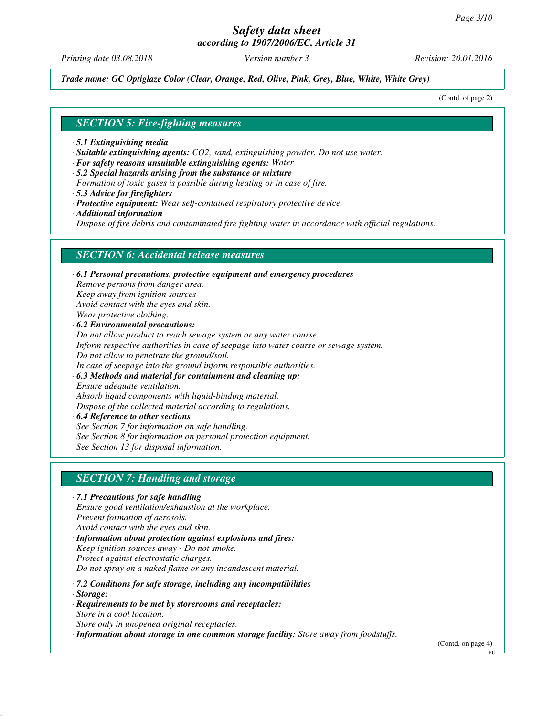# *Safety data sheet*

*according to 1907/2006/EC, Article 31*

*Printing date 03.08.2018 Version number 3 Revision: 20.01.2016*

*Trade name: GC Optiglaze Color (Clear, Orange, Red, Olive, Pink, Grey, Blue, White, White Grey)*

(Contd. of page 2)

### *SECTION 5: Fire-fighting measures*

- *· 5.1 Extinguishing media*
- *· Suitable extinguishing agents: CO2, sand, extinguishing powder. Do not use water.*
- *· For safety reasons unsuitable extinguishing agents: Water*
- *· 5.2 Special hazards arising from the substance or mixture*
- *Formation of toxic gases is possible during heating or in case of fire.*
- *· 5.3 Advice for firefighters*
- *· Protective equipment: Wear self-contained respiratory protective device.*
- *· Additional information*

*Dispose of fire debris and contaminated fire fighting water in accordance with official regulations.*

# *SECTION 6: Accidental release measures*

*· 6.1 Personal precautions, protective equipment and emergency procedures Remove persons from danger area. Keep away from ignition sources Avoid contact with the eyes and skin. Wear protective clothing. · 6.2 Environmental precautions: Do not allow product to reach sewage system or any water course. Inform respective authorities in case of seepage into water course or sewage system. Do not allow to penetrate the ground/soil. In case of seepage into the ground inform responsible authorities.*

*· 6.3 Methods and material for containment and cleaning up: Ensure adequate ventilation. Absorb liquid components with liquid-binding material.*

*Dispose of the collected material according to regulations.*

*· 6.4 Reference to other sections See Section 7 for information on safe handling. See Section 8 for information on personal protection equipment. See Section 13 for disposal information.*

# *SECTION 7: Handling and storage*

*· 7.1 Precautions for safe handling Ensure good ventilation/exhaustion at the workplace. Prevent formation of aerosols. Avoid contact with the eyes and skin. · Information about protection against explosions and fires: Keep ignition sources away - Do not smoke. Protect against electrostatic charges. Do not spray on a naked flame or any incandescent material. · 7.2 Conditions for safe storage, including any incompatibilities · Storage: · Requirements to be met by storerooms and receptacles: Store in a cool location. Store only in unopened original receptacles.*

*· Information about storage in one common storage facility: Store away from foodstuffs.*

(Contd. on page 4)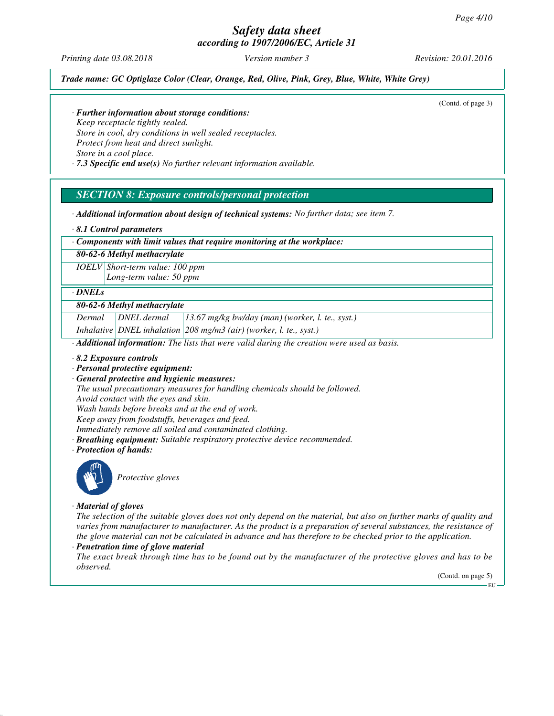*Printing date 03.08.2018 Version number 3 Revision: 20.01.2016*

*Trade name: GC Optiglaze Color (Clear, Orange, Red, Olive, Pink, Grey, Blue, White, White Grey)*

(Contd. of page 3)

*· Further information about storage conditions:*

*Keep receptacle tightly sealed. Store in cool, dry conditions in well sealed receptacles. Protect from heat and direct sunlight. Store in a cool place.*

*· 7.3 Specific end use(s) No further relevant information available.*

# *SECTION 8: Exposure controls/personal protection*

*· Additional information about design of technical systems: No further data; see item 7.*

*· 8.1 Control parameters*

*· Components with limit values that require monitoring at the workplace:*

*80-62-6 Methyl methacrylate*

*IOELV Short-term value: 100 ppm Long-term value: 50 ppm*

#### *· DNELs*

#### *80-62-6 Methyl methacrylate*

*Dermal DNEL dermal 13.67 mg/kg bw/day (man) (worker, l. te., syst.)*

*Inhalative DNEL inhalation 208 mg/m3 (air) (worker, l. te., syst.)*

*· Additional information: The lists that were valid during the creation were used as basis.*

*· 8.2 Exposure controls*

- *· Personal protective equipment:*
- *· General protective and hygienic measures:*

*The usual precautionary measures for handling chemicals should be followed. Avoid contact with the eyes and skin.*

*Wash hands before breaks and at the end of work.*

*Keep away from foodstuffs, beverages and feed.*

*Immediately remove all soiled and contaminated clothing.*

- *· Breathing equipment: Suitable respiratory protective device recommended.*
- *· Protection of hands:*



*Protective gloves*

*· Material of gloves*

*The selection of the suitable gloves does not only depend on the material, but also on further marks of quality and varies from manufacturer to manufacturer. As the product is a preparation of several substances, the resistance of the glove material can not be calculated in advance and has therefore to be checked prior to the application.*

### *· Penetration time of glove material*

*The exact break through time has to be found out by the manufacturer of the protective gloves and has to be observed.*

(Contd. on page 5)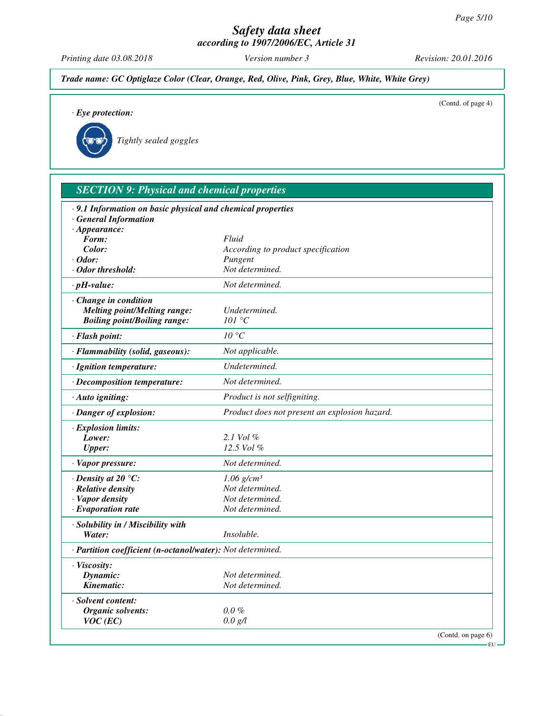*Printing date 03.08.2018 Version number 3 Revision: 20.01.2016*

*Trade name: GC Optiglaze Color (Clear, Orange, Red, Olive, Pink, Grey, Blue, White, White Grey)*

(Contd. of page 4)

*· Eye protection:*

| Tightly sealed goggles |  |
|------------------------|--|
|------------------------|--|

| <b>SECTION 9: Physical and chemical properties</b>                         |                                               |                    |
|----------------------------------------------------------------------------|-----------------------------------------------|--------------------|
| .9.1 Information on basic physical and chemical properties                 |                                               |                    |
| · General Information                                                      |                                               |                    |
| $\cdot$ Appearance:                                                        |                                               |                    |
| Form:                                                                      | Fluid                                         |                    |
| Color:<br>· Odor:                                                          | According to product specification<br>Pungent |                    |
| · Odor threshold:                                                          | Not determined.                               |                    |
| $\cdot$ pH-value:                                                          | Not determined.                               |                    |
|                                                                            |                                               |                    |
| Change in condition                                                        | Undetermined.                                 |                    |
| <b>Melting point/Melting range:</b><br><b>Boiling point/Boiling range:</b> | 101 °C                                        |                    |
|                                                                            |                                               |                    |
| · Flash point:                                                             | 10 °C                                         |                    |
| · Flammability (solid, gaseous):                                           | Not applicable.                               |                    |
| · Ignition temperature:                                                    | Undetermined.                                 |                    |
| · Decomposition temperature:                                               | Not determined.                               |                    |
| · Auto igniting:                                                           | Product is not selfigniting.                  |                    |
| · Danger of explosion:                                                     | Product does not present an explosion hazard. |                    |
| · Explosion limits:                                                        |                                               |                    |
| Lower:                                                                     | 2.1 Vol $\%$                                  |                    |
| <b>Upper:</b>                                                              | 12.5 Vol %                                    |                    |
| · Vapor pressure:                                                          | Not determined.                               |                    |
| $\cdot$ Density at 20 $\degree$ C:                                         | $1.06$ g/cm <sup>3</sup>                      |                    |
| · Relative density                                                         | Not determined.                               |                    |
| · Vapor density                                                            | Not determined.                               |                    |
| $\cdot$ Evaporation rate                                                   | Not determined.                               |                    |
| · Solubility in / Miscibility with                                         |                                               |                    |
| Water:                                                                     | <i>Insoluble.</i>                             |                    |
| · Partition coefficient (n-octanol/water): Not determined.                 |                                               |                    |
| · Viscosity:                                                               |                                               |                    |
| Dynamic:                                                                   | Not determined.                               |                    |
| Kinematic:                                                                 | Not determined.                               |                    |
| · Solvent content:                                                         |                                               |                    |
| Organic solvents:                                                          | $0.0\%$                                       |                    |
| $VOC$ (EC)                                                                 | 0.0 g/l                                       |                    |
|                                                                            |                                               | (Contd. on page 6) |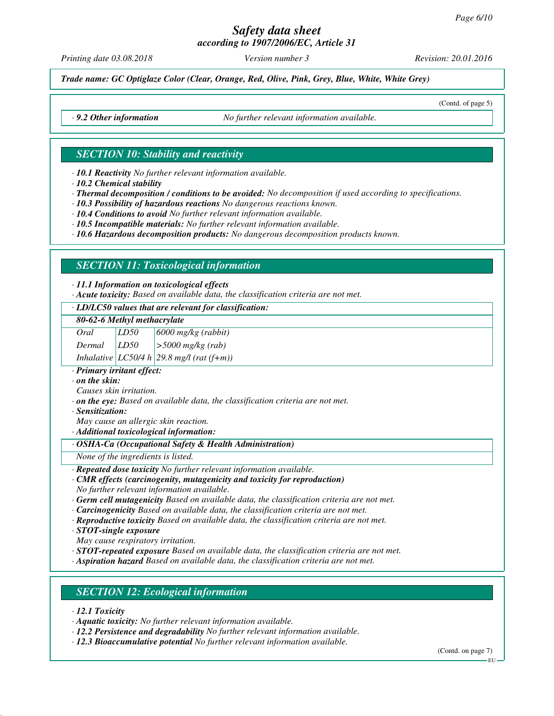# *Safety data sheet*

*according to 1907/2006/EC, Article 31*

*Printing date 03.08.2018 Version number 3 Revision: 20.01.2016*

*Trade name: GC Optiglaze Color (Clear, Orange, Red, Olive, Pink, Grey, Blue, White, White Grey)*

(Contd. of page 5)

*· 9.2 Other information No further relevant information available.*

# *SECTION 10: Stability and reactivity*

*· 10.1 Reactivity No further relevant information available.*

*· 10.2 Chemical stability*

*· Thermal decomposition / conditions to be avoided: No decomposition if used according to specifications.*

*· 10.3 Possibility of hazardous reactions No dangerous reactions known.*

*· 10.4 Conditions to avoid No further relevant information available.*

*· 10.5 Incompatible materials: No further relevant information available.*

*· 10.6 Hazardous decomposition products: No dangerous decomposition products known.*

# *SECTION 11: Toxicological information*

#### *· 11.1 Information on toxicological effects*

*· Acute toxicity: Based on available data, the classification criteria are not met.*

#### *· LD/LC50 values that are relevant for classification:*

|  |  | 80-62-6 Methyl methacrylate |
|--|--|-----------------------------|
|--|--|-----------------------------|

*Oral LD50 6000 mg/kg (rabbit)*

*Dermal LD50 >5000 mg/kg (rab)*

*Inhalative LC50/4 h 29.8 mg/l (rat (f+m))*

*· Primary irritant effect:*

*· on the skin:*

*Causes skin irritation.*

*· on the eye: Based on available data, the classification criteria are not met.*

*· Sensitization:*

*May cause an allergic skin reaction.*

*· Additional toxicological information:*

#### *· OSHA-Ca (Occupational Safety & Health Administration)*

*None of the ingredients is listed.*

*· Repeated dose toxicity No further relevant information available.*

#### *· CMR effects (carcinogenity, mutagenicity and toxicity for reproduction) No further relevant information available.*

*· Germ cell mutagenicity Based on available data, the classification criteria are not met.*

*· Carcinogenicity Based on available data, the classification criteria are not met.*

*· Reproductive toxicity Based on available data, the classification criteria are not met.*

*· STOT-single exposure*

*May cause respiratory irritation.*

*· STOT-repeated exposure Based on available data, the classification criteria are not met.*

*· Aspiration hazard Based on available data, the classification criteria are not met.*

# *SECTION 12: Ecological information*

*· 12.1 Toxicity*

*· Aquatic toxicity: No further relevant information available.*

*· 12.2 Persistence and degradability No further relevant information available.*

*· 12.3 Bioaccumulative potential No further relevant information available.*

(Contd. on page 7)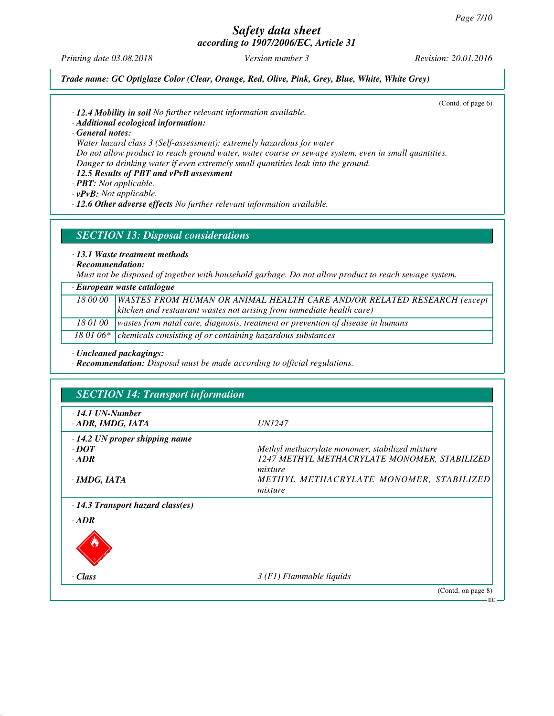*Printing date 03.08.2018 Version number 3 Revision: 20.01.2016*

(Contd. of page 6)

#### *Trade name: GC Optiglaze Color (Clear, Orange, Red, Olive, Pink, Grey, Blue, White, White Grey)*

- *· 12.4 Mobility in soil No further relevant information available.*
- *· Additional ecological information:*

*· General notes:*

*Water hazard class 3 (Self-assessment): extremely hazardous for water Do not allow product to reach ground water, water course or sewage system, even in small quantities. Danger to drinking water if even extremely small quantities leak into the ground.*

*· 12.5 Results of PBT and vPvB assessment*

- *· PBT: Not applicable.*
- *· vPvB: Not applicable.*

*· 12.6 Other adverse effects No further relevant information available.*

## *SECTION 13: Disposal considerations*

## *· 13.1 Waste treatment methods*

*· Recommendation:*

*Must not be disposed of together with household garbage. Do not allow product to reach sewage system.*

| $\cdot$ European waste catalogue |                                                                                            |
|----------------------------------|--------------------------------------------------------------------------------------------|
|                                  | 18 00 00   WASTES FROM HUMAN OR ANIMAL HEALTH CARE AND/OR RELATED RESEARCH (except         |
|                                  | $\vert$ kitchen and restaurant wastes not arising from immediate health care)              |
|                                  | 18 01 00   wastes from natal care, diagnosis, treatment or prevention of disease in humans |
|                                  | 18 01 06* $\vert$ chemicals consisting of or containing hazardous substances               |

*· Uncleaned packagings:*

*· Recommendation: Disposal must be made according to official regulations.*

| $\cdot$ 14.1 UN-Number                  | <i>UN1247</i>                                   |
|-----------------------------------------|-------------------------------------------------|
| · ADR, IMDG, IATA                       |                                                 |
| $\cdot$ 14.2 UN proper shipping name    |                                                 |
| $\cdot$ DOT                             | Methyl methacrylate monomer, stabilized mixture |
| $\cdot$ ADR                             | 1247 METHYL METHACRYLATE MONOMER, STABILIZED    |
|                                         | mixture                                         |
| $\cdot$ IMDG, IATA                      | METHYL METHACRYLATE MONOMER, STABILIZED         |
|                                         | mixture                                         |
| $\cdot$ 14.3 Transport hazard class(es) |                                                 |
| $\cdot$ ADR                             |                                                 |
|                                         |                                                 |
|                                         |                                                 |
|                                         |                                                 |
| · Class                                 | $3(F1)$ Flammable liquids                       |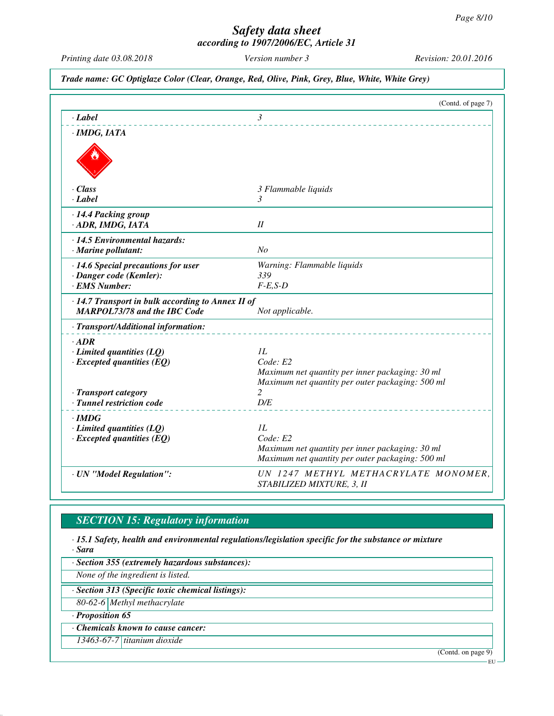*Printing date 03.08.2018 Version number 3 Revision: 20.01.2016*

*Trade name: GC Optiglaze Color (Clear, Orange, Red, Olive, Pink, Grey, Blue, White, White Grey)*

|                                                                     | (Contd. of page 7)                                                |
|---------------------------------------------------------------------|-------------------------------------------------------------------|
| $-Label$                                                            | $\mathfrak{Z}$                                                    |
| $\cdot$ IMDG, IATA                                                  |                                                                   |
|                                                                     |                                                                   |
|                                                                     |                                                                   |
| $\cdot$ Class                                                       | 3 Flammable liquids                                               |
| $\cdot$ Label                                                       | $\mathcal{E}$                                                     |
| · 14.4 Packing group                                                |                                                                   |
| · ADR, IMDG, IATA                                                   | I                                                                 |
| · 14.5 Environmental hazards:                                       |                                                                   |
| $\cdot$ Marine pollutant:                                           | No                                                                |
| $\cdot$ 14.6 Special precautions for user                           | Warning: Flammable liquids                                        |
| · Danger code (Kemler):                                             | 339                                                               |
| · EMS Number:                                                       | $F-E$ , $S-D$                                                     |
| $\cdot$ 14.7 Transport in bulk according to Annex II of             |                                                                   |
| <b>MARPOL73/78 and the IBC Code</b>                                 | Not applicable.                                                   |
| · Transport/Additional information:                                 |                                                                   |
| $\cdot$ ADR                                                         |                                                                   |
| $\cdot$ Limited quantities (LQ)                                     | 1L                                                                |
| $\cdot$ Excepted quantities (EQ)                                    | Code: E2                                                          |
|                                                                     | Maximum net quantity per inner packaging: 30 ml                   |
|                                                                     | Maximum net quantity per outer packaging: 500 ml                  |
| · Transport category<br>· Tunnel restriction code                   | 2<br>D/E                                                          |
|                                                                     |                                                                   |
| · IMDG                                                              |                                                                   |
| $\cdot$ Limited quantities (LQ)<br>$\cdot$ Excepted quantities (EQ) | 1L<br>Code: E2                                                    |
|                                                                     | Maximum net quantity per inner packaging: 30 ml                   |
|                                                                     | Maximum net quantity per outer packaging: 500 ml                  |
| · UN "Model Regulation":                                            | UN 1247 METHYL METHACRYLATE MONOMER,<br>STABILIZED MIXTURE, 3, II |

# *SECTION 15: Regulatory information*

*· 15.1 Safety, health and environmental regulations/legislation specific for the substance or mixture · Sara*

*· Section 355 (extremely hazardous substances):*

*None of the ingredient is listed.*

*· Section 313 (Specific toxic chemical listings):*

*80-62-6 Methyl methacrylate*

*· Proposition 65*

*· Chemicals known to cause cancer:*

*13463-67-7 titanium dioxide*

(Contd. on page 9)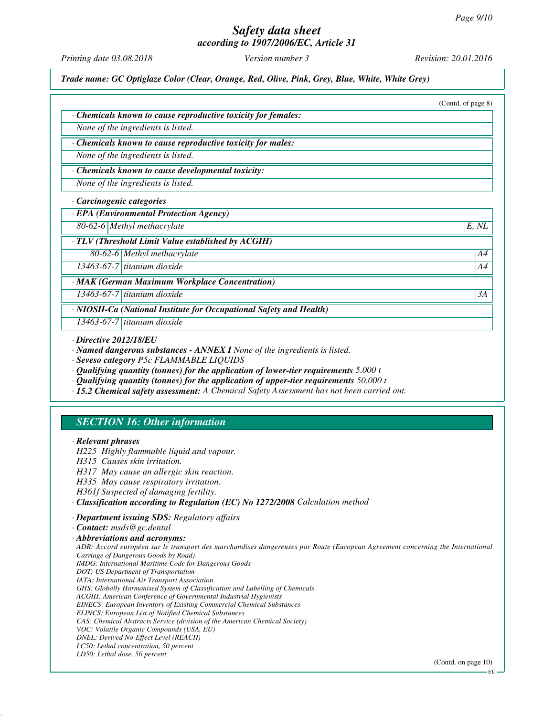# *Safety data sheet*

*according to 1907/2006/EC, Article 31*

*Printing date 03.08.2018 Version number 3 Revision: 20.01.2016*

*Trade name: GC Optiglaze Color (Clear, Orange, Red, Olive, Pink, Grey, Blue, White, White Grey)*

|                              |                                                                                                                                                                                                                                                                                                                                                                                                                  | (Contd. of page 8) |
|------------------------------|------------------------------------------------------------------------------------------------------------------------------------------------------------------------------------------------------------------------------------------------------------------------------------------------------------------------------------------------------------------------------------------------------------------|--------------------|
|                              | Chemicals known to cause reproductive toxicity for females:                                                                                                                                                                                                                                                                                                                                                      |                    |
|                              | None of the ingredients is listed.                                                                                                                                                                                                                                                                                                                                                                               |                    |
|                              | · Chemicals known to cause reproductive toxicity for males:                                                                                                                                                                                                                                                                                                                                                      |                    |
|                              | None of the ingredients is listed.                                                                                                                                                                                                                                                                                                                                                                               |                    |
|                              | · Chemicals known to cause developmental toxicity:                                                                                                                                                                                                                                                                                                                                                               |                    |
|                              | None of the ingredients is listed.                                                                                                                                                                                                                                                                                                                                                                               |                    |
|                              | · Carcinogenic categories                                                                                                                                                                                                                                                                                                                                                                                        |                    |
|                              | · EPA (Environmental Protection Agency)                                                                                                                                                                                                                                                                                                                                                                          |                    |
|                              | 80-62-6 Methyl methacrylate                                                                                                                                                                                                                                                                                                                                                                                      | E, NL              |
|                              | · TLV (Threshold Limit Value established by ACGIH)                                                                                                                                                                                                                                                                                                                                                               |                    |
|                              | 80-62-6 Methyl methacrylate                                                                                                                                                                                                                                                                                                                                                                                      | A4                 |
|                              | $13463-67-7$ titanium dioxide                                                                                                                                                                                                                                                                                                                                                                                    | A4                 |
|                              | · MAK (German Maximum Workplace Concentration)                                                                                                                                                                                                                                                                                                                                                                   |                    |
|                              | 13463-67-7 titanium dioxide                                                                                                                                                                                                                                                                                                                                                                                      | 3A                 |
|                              | · NIOSH-Ca (National Institute for Occupational Safety and Health)                                                                                                                                                                                                                                                                                                                                               |                    |
|                              | 13463-67-7 titanium dioxide                                                                                                                                                                                                                                                                                                                                                                                      |                    |
| $\cdot$ Directive 2012/18/EU | · Named dangerous substances - ANNEX I None of the ingredients is listed.<br>· Seveso category P5c FLAMMABLE LIQUIDS<br>$\cdot$ Qualifying quantity (tonnes) for the application of lower-tier requirements 5.000 t<br>$\cdot$ Qualifying quantity (tonnes) for the application of upper-tier requirements 50.000 t<br>· 15.2 Chemical safety assessment: A Chemical Safety Assessment has not been carried out. |                    |
|                              | <b>SECTION 16: Other information</b>                                                                                                                                                                                                                                                                                                                                                                             |                    |
| · Relevant phrases           | H225 Highly flammable liquid and vapour.<br>H315 Causes skin irritation.<br>H317 May cause an allergic skin reaction.<br>H335 May cause respiratory irritation.<br>H361f Suspected of damaging fertility.<br>· Classification according to Regulation (EC) No 1272/2008 Calculation method                                                                                                                       |                    |
|                              | · Department issuing SDS: Regulatory affairs<br>· Contact: msds@gc.dental                                                                                                                                                                                                                                                                                                                                        |                    |

*· Abbreviations and acronyms: ADR: Accord européen sur le transport des marchandises dangereuses par Route (European Agreement concerning the International Carriage of Dangerous Goods by Road) IMDG: International Maritime Code for Dangerous Goods DOT: US Department of Transportation IATA: International Air Transport Association GHS: Globally Harmonised System of Classification and Labelling of Chemicals ACGIH: American Conference of Governmental Industrial Hygienists EINECS: European Inventory of Existing Commercial Chemical Substances ELINCS: European List of Notified Chemical Substances CAS: Chemical Abstracts Service (division of the American Chemical Society) VOC: Volatile Organic Compounds (USA, EU) DNEL: Derived No-Effect Level (REACH) LC50: Lethal concentration, 50 percent LD50: Lethal dose, 50 percent*

(Contd. on page 10)